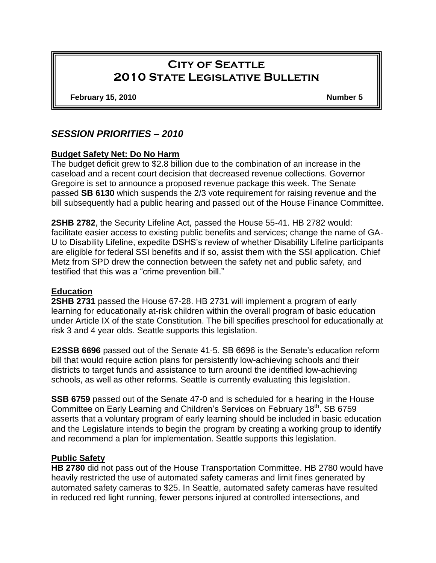# **City of Seattle 2010 State Legislative Bulletin**

**February 15, 2010 Number 5**

# *SESSION PRIORITIES – 2010*

## **Budget Safety Net: Do No Harm**

The budget deficit grew to \$2.8 billion due to the combination of an increase in the caseload and a recent court decision that decreased revenue collections. Governor Gregoire is set to announce a proposed revenue package this week. The Senate passed **SB 6130** which suspends the 2/3 vote requirement for raising revenue and the bill subsequently had a public hearing and passed out of the House Finance Committee.

**2SHB 2782**, the Security Lifeline Act, passed the House 55-41. HB 2782 would: facilitate easier access to existing public benefits and services; change the name of GA-U to Disability Lifeline, expedite DSHS's review of whether Disability Lifeline participants are eligible for federal SSI benefits and if so, assist them with the SSI application. Chief Metz from SPD drew the connection between the safety net and public safety, and testified that this was a "crime prevention bill."

#### **Education**

**2SHB 2731** passed the House 67-28. HB 2731 will implement a program of early learning for educationally at-risk children within the overall program of basic education under Article IX of the state Constitution. The bill specifies preschool for educationally at risk 3 and 4 year olds. Seattle supports this legislation.

**E2SSB 6696** passed out of the Senate 41-5. SB 6696 is the Senate's education reform bill that would require action plans for persistently low-achieving schools and their districts to target funds and assistance to turn around the identified low-achieving schools, as well as other reforms. Seattle is currently evaluating this legislation.

**SSB 6759** passed out of the Senate 47-0 and is scheduled for a hearing in the House Committee on Early Learning and Children's Services on February 18<sup>th</sup>. SB 6759 asserts that a voluntary program of early learning should be included in basic education and the Legislature intends to begin the program by creating a working group to identify and recommend a plan for implementation. Seattle supports this legislation.

#### **Public Safety**

**HB 2780** did not pass out of the House Transportation Committee. HB 2780 would have heavily restricted the use of automated safety cameras and limit fines generated by automated safety cameras to \$25. In Seattle, automated safety cameras have resulted in reduced red light running, fewer persons injured at controlled intersections, and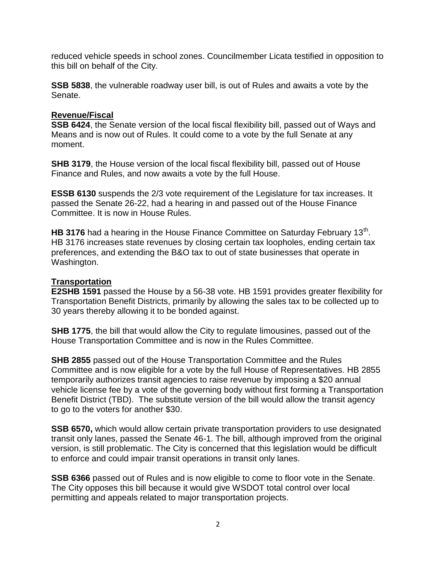reduced vehicle speeds in school zones. Councilmember Licata testified in opposition to this bill on behalf of the City.

**SSB 5838**, the vulnerable roadway user bill, is out of Rules and awaits a vote by the Senate.

#### **Revenue/Fiscal**

**SSB 6424**, the Senate version of the local fiscal flexibility bill, passed out of Ways and Means and is now out of Rules. It could come to a vote by the full Senate at any moment.

**SHB 3179**, the House version of the local fiscal flexibility bill, passed out of House Finance and Rules, and now awaits a vote by the full House.

**ESSB 6130** suspends the 2/3 vote requirement of the Legislature for tax increases. It passed the Senate 26-22, had a hearing in and passed out of the House Finance Committee. It is now in House Rules.

HB 3176 had a hearing in the House Finance Committee on Saturday February 13<sup>th</sup>. HB 3176 increases state revenues by closing certain tax loopholes, ending certain tax preferences, and extending the B&O tax to out of state businesses that operate in Washington.

## **Transportation**

**E2SHB 1591** passed the House by a 56-38 vote. HB 1591 provides greater flexibility for Transportation Benefit Districts, primarily by allowing the sales tax to be collected up to 30 years thereby allowing it to be bonded against.

**SHB 1775**, the bill that would allow the City to regulate limousines, passed out of the House Transportation Committee and is now in the Rules Committee.

**SHB 2855** passed out of the House Transportation Committee and the Rules Committee and is now eligible for a vote by the full House of Representatives. HB 2855 temporarily authorizes transit agencies to raise revenue by imposing a \$20 annual vehicle license fee by a vote of the governing body without first forming a Transportation Benefit District (TBD). The substitute version of the bill would allow the transit agency to go to the voters for another \$30.

**SSB 6570,** which would allow certain private transportation providers to use designated transit only lanes, passed the Senate 46-1. The bill, although improved from the original version, is still problematic. The City is concerned that this legislation would be difficult to enforce and could impair transit operations in transit only lanes.

**SSB 6366** passed out of Rules and is now eligible to come to floor vote in the Senate. The City opposes this bill because it would give WSDOT total control over local permitting and appeals related to major transportation projects.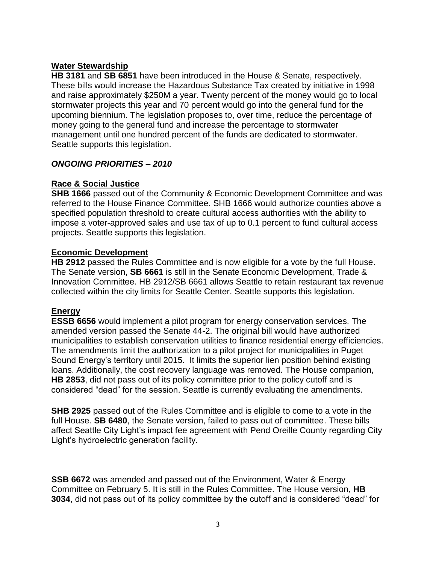## **Water Stewardship**

**HB 3181** and **SB 6851** have been introduced in the House & Senate, respectively. These bills would increase the Hazardous Substance Tax created by initiative in 1998 and raise approximately \$250M a year. Twenty percent of the money would go to local stormwater projects this year and 70 percent would go into the general fund for the upcoming biennium. The legislation proposes to, over time, reduce the percentage of money going to the general fund and increase the percentage to stormwater management until one hundred percent of the funds are dedicated to stormwater. Seattle supports this legislation.

## *ONGOING PRIORITIES – 2010*

## **Race & Social Justice**

**SHB 1666** passed out of the Community & Economic Development Committee and was referred to the House Finance Committee. SHB 1666 would authorize counties above a specified population threshold to create cultural access authorities with the ability to impose a voter-approved sales and use tax of up to 0.1 percent to fund cultural access projects. Seattle supports this legislation.

#### **Economic Development**

**HB 2912** passed the Rules Committee and is now eligible for a vote by the full House. The Senate version, **SB 6661** is still in the Senate Economic Development, Trade & Innovation Committee. HB 2912/SB 6661 allows Seattle to retain restaurant tax revenue collected within the city limits for Seattle Center. Seattle supports this legislation.

# **Energy**

**ESSB 6656** would implement a pilot program for energy conservation services. The amended version passed the Senate 44-2. The original bill would have authorized municipalities to establish conservation utilities to finance residential energy efficiencies. The amendments limit the authorization to a pilot project for municipalities in Puget Sound Energy's territory until 2015. It limits the superior lien position behind existing loans. Additionally, the cost recovery language was removed. The House companion, **HB 2853**, did not pass out of its policy committee prior to the policy cutoff and is considered "dead" for the session. Seattle is currently evaluating the amendments.

**SHB 2925** passed out of the Rules Committee and is eligible to come to a vote in the full House. **SB 6480**, the Senate version, failed to pass out of committee. These bills affect Seattle City Light's impact fee agreement with Pend Oreille County regarding City Light's hydroelectric generation facility.

**SSB 6672** was amended and passed out of the Environment, Water & Energy Committee on February 5. It is still in the Rules Committee. The House version, **HB 3034**, did not pass out of its policy committee by the cutoff and is considered "dead" for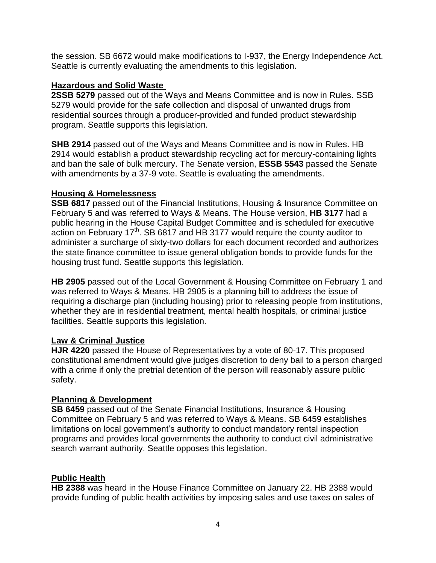the session. SB 6672 would make modifications to I-937, the Energy Independence Act. Seattle is currently evaluating the amendments to this legislation.

#### **Hazardous and Solid Waste**

**2SSB 5279** passed out of the Ways and Means Committee and is now in Rules. SSB 5279 would provide for the safe collection and disposal of unwanted drugs from residential sources through a producer-provided and funded product stewardship program. Seattle supports this legislation.

**SHB 2914** passed out of the Ways and Means Committee and is now in Rules. HB 2914 would establish a product stewardship recycling act for mercury-containing lights and ban the sale of bulk mercury. The Senate version, **ESSB 5543** passed the Senate with amendments by a 37-9 vote. Seattle is evaluating the amendments.

## **Housing & Homelessness**

**SSB 6817** passed out of the Financial Institutions, Housing & Insurance Committee on February 5 and was referred to Ways & Means. The House version, **HB 3177** had a public hearing in the House Capital Budget Committee and is scheduled for executive action on February 17<sup>th</sup>. SB 6817 and HB 3177 would require the county auditor to administer a surcharge of sixty-two dollars for each document recorded and authorizes the state finance committee to issue general obligation bonds to provide funds for the housing trust fund. Seattle supports this legislation.

**HB 2905** passed out of the Local Government & Housing Committee on February 1 and was referred to Ways & Means. HB 2905 is a planning bill to address the issue of requiring a discharge plan (including housing) prior to releasing people from institutions, whether they are in residential treatment, mental health hospitals, or criminal justice facilities. Seattle supports this legislation.

# **Law & Criminal Justice**

**HJR 4220** passed the House of Representatives by a vote of 80-17. This proposed constitutional amendment would give judges discretion to deny bail to a person charged with a crime if only the pretrial detention of the person will reasonably assure public safety.

# **Planning & Development**

**SB 6459** passed out of the Senate Financial Institutions, Insurance & Housing Committee on February 5 and was referred to Ways & Means. SB 6459 establishes limitations on local government's authority to conduct mandatory rental inspection programs and provides local governments the authority to conduct civil administrative search warrant authority. Seattle opposes this legislation.

# **Public Health**

**HB 2388** was heard in the House Finance Committee on January 22. HB 2388 would provide funding of public health activities by imposing sales and use taxes on sales of